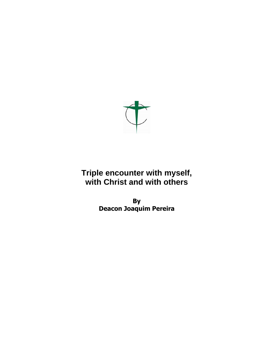

# **Triple encounter with myself, with Christ and with others**

**By Deacon Joaquim Pereira**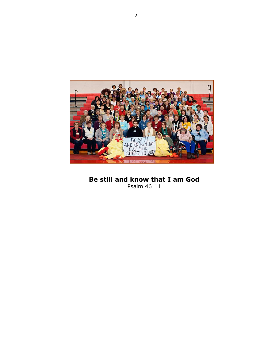

# **Be still and know that I am God** Psalm 46:11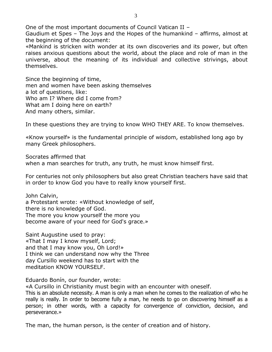One of the most important documents of Council Vatican II –

Gaudium et Spes – The Joys and the Hopes of the humankind – affirms, almost at the beginning of the document:

«Mankind is stricken with wonder at its own discoveries and its power, but often raises anxious questions about the world, about the place and role of man in the universe, about the meaning of its individual and collective strivings, about themselves.

Since the beginning of time, men and women have been asking themselves a lot of questions, like: Who am I? Where did I come from? What am I doing here on earth? And many others, similar.

In these questions they are trying to know WHO THEY ARE. To know themselves.

«Know yourself» is the fundamental principle of wisdom, established long ago by many Greek philosophers.

Socrates affirmed that when a man searches for truth, any truth, he must know himself first.

For centuries not only philosophers but also great Christian teachers have said that in order to know God you have to really know yourself first.

John Calvin, a Protestant wrote: «Without knowledge of self, there is no knowledge of God. The more you know yourself the more you become aware of your need for God's grace.»

Saint Augustine used to pray: «That I may I know myself, Lord; and that I may know you, Oh Lord!» I think we can understand now why the Three day Cursillo weekend has to start with the meditation KNOW YOURSELF.

Eduardo Bonín, our founder, wrote:

«A Cursillo in Christianity must begin with an encounter with oneself. This is an absolute necessity. A man is only a man when he comes to the realization of who he really is really. In order to become fully a man, he needs to go on discovering himself as a person; in other words, with a capacity for convergence of conviction, decision, and perseverance.»

The man, the human person, is the center of creation and of history.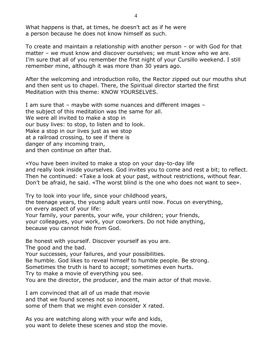What happens is that, at times, he doesn't act as if he were a person because he does not know himself as such.

To create and maintain a relationship with another person – or with God for that matter – we must know and discover ourselves; we must know who we are. I'm sure that all of you remember the first night of your Cursillo weekend. I still remember mine, although it was more than 30 years ago.

After the welcoming and introduction rollo, the Rector zipped out our mouths shut and then sent us to chapel. There, the Spiritual director started the first Meditation with this theme: KNOW YOURSELVES.

I am sure that – maybe with some nuances and different images – the subject of this meditation was the same for all. We were all invited to make a stop in our busy lives: to stop, to listen and to look. Make a stop in our lives just as we stop at a railroad crossing, to see if there is danger of any incoming train, and then continue on after that.

«You have been invited to make a stop on your day-to-day life and really look inside yourselves. God invites you to come and rest a bit; to reflect. Then he continued: «Take a look at your past, without restrictions, without fear. Don't be afraid, he said. «The worst blind is the one who does not want to see».

Try to look into your life, since your childhood years,

the teenage years, the young adult years until now. Focus on everything, on every aspect of your life:

Your family, your parents, your wife, your children; your friends,

your colleagues, your work, your coworkers. Do not hide anything, because you cannot hide from God.

Be honest with yourself. Discover yourself as you are.

The good and the bad.

Your successes, your failures, and your possibilities.

Be humble. God likes to reveal himself to humble people. Be strong.

Sometimes the truth is hard to accept; sometimes even hurts.

Try to make a movie of everything you see.

You are the director, the producer, and the main actor of that movie.

I am convinced that all of us made that movie and that we found scenes not so innocent, some of them that we might even consider X rated.

As you are watching along with your wife and kids, you want to delete these scenes and stop the movie.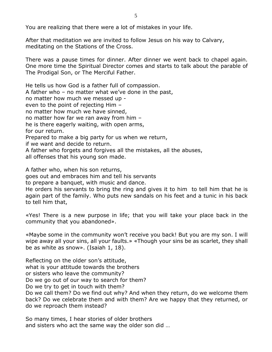You are realizing that there were a lot of mistakes in your life.

After that meditation we are invited to follow Jesus on his way to Calvary, meditating on the Stations of the Cross.

There was a pause times for dinner. After dinner we went back to chapel again. One more time the Spiritual Director comes and starts to talk about the parable of The Prodigal Son, or The Merciful Father.

He tells us how God is a father full of compassion. A father who – no matter what we've done in the past, no matter how much we messed up even to the point of rejecting Him – no matter how much we have sinned, no matter how far we ran away from him – he is there eagerly waiting, with open arms, for our return. Prepared to make a big party for us when we return, if we want and decide to return. A father who forgets and forgives all the mistakes, all the abuses, all offenses that his young son made.

A father who, when his son returns,

goes out and embraces him and tell his servants

to prepare a banquet, with music and dance.

He orders his servants to bring the ring and gives it to him to tell him that he is again part of the family. Who puts new sandals on his feet and a tunic in his back to tell him that,

«Yes! There is a new purpose in life; that you will take your place back in the community that you abandoned».

«Maybe some in the community won't receive you back! But you are my son. I will wipe away all your sins, all your faults.» «Though your sins be as scarlet, they shall be as white as snow». (Isaiah 1, 18).

Reflecting on the older son's attitude, what is your attitude towards the brothers or sisters who leave the community? Do we go out of our way to search for them? Do we try to get in touch with them? Do we call them? Do we find out why? And when they return, do we welcome them back? Do we celebrate them and with them? Are we happy that they returned, or do we reproach them instead?

So many times, I hear stories of older brothers and sisters who act the same way the older son did …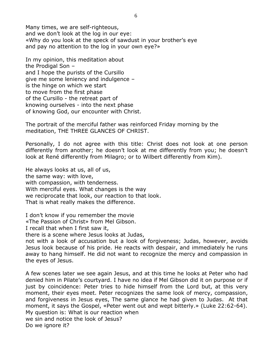Many times, we are self-righteous, and we don't look at the log in our eye: «Why do you look at the speck of sawdust in your brother's eye and pay no attention to the log in your own eye?»

In my opinion, this meditation about the Prodigal Son – and I hope the purists of the Cursillo give me some leniency and indulgence – is the hinge on which we start to move from the first phase of the Cursillo - the retreat part of knowing ourselves - into the next phase of knowing God, our encounter with Christ.

The portrait of the merciful father was reinforced Friday morning by the meditation, THE THREE GLANCES OF CHRIST.

Personally, I do not agree with this title: Christ does not look at one person differently from another; he doesn't look at me differently from you; he doesn't look at René differently from Milagro; or to Wilbert differently from Kim).

He always looks at us, all of us, the same way: with love, with compassion, with tenderness. With merciful eyes. What changes is the way we reciprocate that look, our reaction to that look. That is what really makes the difference.

I don't know if you remember the movie

«The Passion of Christ» from Mel Gibson.

I recall that when I first saw it,

there is a scene where Jesus looks at Judas,

not with a look of accusation but a look of forgiveness; Judas, however, avoids Jesus look because of his pride. He reacts with despair, and immediately he runs away to hang himself. He did not want to recognize the mercy and compassion in the eyes of Jesus.

A few scenes later we see again Jesus, and at this time he looks at Peter who had denied him in Pilate's courtyard. I have no idea if Mel Gibson did it on purpose or if just by coincidence: Peter tries to hide himself from the Lord but, at this very moment, their eyes meet. Peter recognizes the same look of mercy, compassion, and forgiveness in Jesus eyes, The same glance he had given to Judas. At that moment, it says the Gospel, «Peter went out and wept bitterly.» (Luke 22:62-64). My question is: What is our reaction when we sin and notice the look of Jesus? Do we ignore it?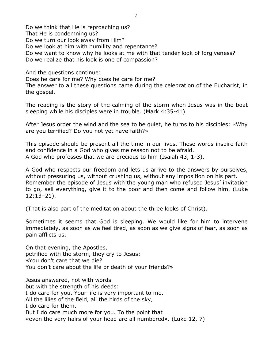7

Do we think that He is reproaching us? That He is condemning us? Do we turn our look away from Him? Do we look at him with humility and repentance? Do we want to know why he looks at me with that tender look of forgiveness? Do we realize that his look is one of compassion?

And the questions continue:

Does he care for me? Why does he care for me?

The answer to all these questions came during the celebration of the Eucharist, in the gospel.

The reading is the story of the calming of the storm when Jesus was in the boat sleeping while his disciples were in trouble. (Mark 4:35-41)

After Jesus order the wind and the sea to be quiet, he turns to his disciples: «Why are you terrified? Do you not yet have faith?»

This episode should be present all the time in our lives. These words inspire faith and confidence in a God who gives me reason not to be afraid. A God who professes that we are precious to him (Isaiah 43, 1-3).

A God who respects our freedom and lets us arrive to the answers by ourselves, without pressuring us, without crushing us, without any imposition on his part. Remember the episode of Jesus with the young man who refused Jesus' invitation to go, sell everything, give it to the poor and then come and follow him. (Luke 12:13–21).

(That is also part of the meditation about the three looks of Christ).

Sometimes it seems that God is sleeping. We would like for him to intervene immediately, as soon as we feel tired, as soon as we give signs of fear, as soon as pain afflicts us.

On that evening, the Apostles, petrified with the storm, they cry to Jesus: «You don't care that we die? You don't care about the life or death of your friends?»

Jesus answered, not with words but with the strength of his deeds: I do care for you. Your life is very important to me. All the lilies of the field, all the birds of the sky, I do care for them. But I do care much more for you. To the point that «even the very hairs of your head are all numbered». (Luke 12, 7)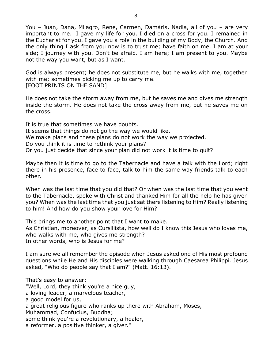You – Juan, Dana, Milagro, Rene, Carmen, Damáris, Nadia, all of you – are very important to me. I gave my life for you. I died on a cross for you. I remained in the Eucharist for you. I gave you a role in the building of my Body, the Church. And the only thing I ask from you now is to trust me; have faith on me. I am at your side; I journey with you. Don't be afraid. I am here; I am present to you. Maybe not the way you want, but as I want.

God is always present; he does not substitute me, but he walks with me, together with me; sometimes picking me up to carry me. [FOOT PRINTS ON THE SAND]

He does not take the storm away from me, but he saves me and gives me strength inside the storm. He does not take the cross away from me, but he saves me on the cross.

It is true that sometimes we have doubts. It seems that things do not go the way we would like. We make plans and these plans do not work the way we projected. Do you think it is time to rethink your plans? Or you just decide that since your plan did not work it is time to quit?

Maybe then it is time to go to the Tabernacle and have a talk with the Lord; right there in his presence, face to face, talk to him the same way friends talk to each other.

When was the last time that you did that? Or when was the last time that you went to the Tabernacle, spoke with Christ and thanked Him for all the help he has given you? When was the last time that you just sat there listening to Him? Really listening to him! And how do you show your love for Him?

This brings me to another point that I want to make.

As Christian, moreover, as Cursillista, how well do I know this Jesus who loves me, who walks with me, who gives me strength? In other words, who is Jesus for me?

I am sure we all remember the episode when Jesus asked one of His most profound questions while He and His disciples were walking through Caesarea Philippi. Jesus asked, "Who do people say that I am?" (Matt. 16:13).

That's easy to answer:

"Well, Lord, they think you're a nice guy,

a loving leader, a marvelous teacher,

a good model for us,

a great religious figure who ranks up there with Abraham, Moses,

Muhammad, Confucius, Buddha;

some think you're a revolutionary, a healer,

a reformer, a positive thinker, a giver."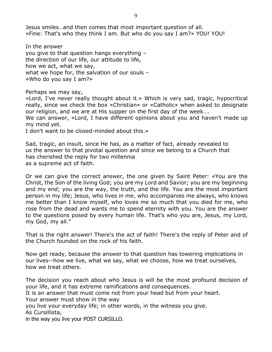Jesus smiles…and then comes that most important question of all. «Fine: That's who they think I am. But who do you say I am?» YOU! YOU!

In the answer you give to that question hangs everything – the direction of our life, our attitude to life, how we act, what we say, what we hope for, the salvation of our souls – «Who do you say I am?»

Perhaps we may say,

«Lord, I've never really thought about it.» Which is very sad, tragic, hypocritical really, since we check the box «Christian» or «Catholic» when asked to designate our religion, and we are at His supper on the first day of the week….

We can answer, «Lord, I have different opinions about you and haven't made up my mind yet.

I don't want to be closed-minded about this.»

Sad, tragic, an insult, since He has, as a matter of fact, already revealed to us the answer to that pivotal question and since we belong to a Church that has cherished the reply for two millennia as a supreme act of faith.

Or we can give the correct answer, the one given by Saint Peter: «You are the Christ, the Son of the living God; you are my Lord and Savior; you are my beginning and my end; you are the way, the truth, and the life. You are the most important person in my life; Jesus, who lives in me, who accompanies me always, who knows me better than I know myself, who loves me so much that you died for me, who rose from the dead and wants me to spend eternity with you. You are the answer to the questions posed by every human life. That's who you are, Jesus, my Lord, my God, my all."

That is the right answer! There's the act of faith! There's the reply of Peter and of the Church founded on the rock of his faith.

Now get ready, because the answer to that question has towering implications in our lives--how we live, what we say, what we choose, how we treat ourselves, how we treat others.

The decision you reach about who Jesus is will be the most profound decision of your life, and it has extreme ramifications and consequences.

It is an answer that must come not from your head but from your heart. Your answer must show in the way

you live your everyday life; in other words, in the witness you give. As Cursillista,

in the way you live your POST CURSILLO.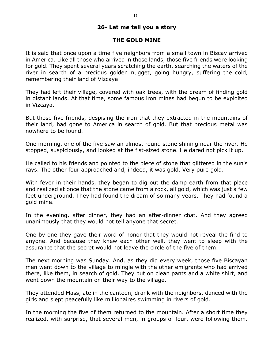### **26- Let me tell you a story**

#### **THE GOLD MINE**

It is said that once upon a time five neighbors from a small town in Biscay arrived in America. Like all those who arrived in those lands, those five friends were looking for gold. They spent several years scratching the earth, searching the waters of the river in search of a precious golden nugget, going hungry, suffering the cold, remembering their land of Vizcaya.

They had left their village, covered with oak trees, with the dream of finding gold in distant lands. At that time, some famous iron mines had begun to be exploited in Vizcaya.

But those five friends, despising the iron that they extracted in the mountains of their land, had gone to America in search of gold. But that precious metal was nowhere to be found.

One morning, one of the five saw an almost round stone shining near the river. He stopped, suspiciously, and looked at the fist-sized stone. He dared not pick it up.

He called to his friends and pointed to the piece of stone that glittered in the sun's rays. The other four approached and, indeed, it was gold. Very pure gold.

With fever in their hands, they began to dig out the damp earth from that place and realized at once that the stone came from a rock, all gold, which was just a few feet underground. They had found the dream of so many years. They had found a gold mine.

In the evening, after dinner, they had an after-dinner chat. And they agreed unanimously that they would not tell anyone that secret.

One by one they gave their word of honor that they would not reveal the find to anyone. And because they knew each other well, they went to sleep with the assurance that the secret would not leave the circle of the five of them.

The next morning was Sunday. And, as they did every week, those five Biscayan men went down to the village to mingle with the other emigrants who had arrived there, like them, in search of gold. They put on clean pants and a white shirt, and went down the mountain on their way to the village.

They attended Mass, ate in the canteen, drank with the neighbors, danced with the girls and slept peacefully like millionaires swimming in rivers of gold.

In the morning the five of them returned to the mountain. After a short time they realized, with surprise, that several men, in groups of four, were following them.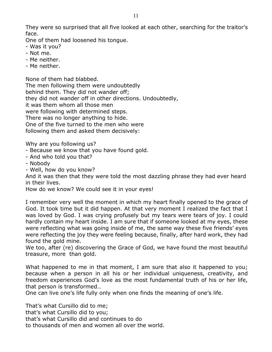They were so surprised that all five looked at each other, searching for the traitor's face.

One of them had loosened his tongue.

- Was it you?
- Not me.
- Me neither.
- Me neither.

None of them had blabbed.

The men following them were undoubtedly behind them. They did not wander off; they did not wander off in other directions. Undoubtedly, it was them whom all those men were following with determined steps. There was no longer anything to hide. One of the five turned to the men who were following them and asked them decisively:

Why are you following us?

- Because we know that you have found gold.
- And who told you that?
- Nobody
- Well, how do you know?

And it was then that they were told the most dazzling phrase they had ever heard in their lives.

How do we know? We could see it in your eyes!

I remember very well the moment in which my heart finally opened to the grace of God. It took time but it did happen. At that very moment I realized the fact that I was loved by God. I was crying profusely but my tears were tears of joy. I could hardly contain my heart inside. I am sure that if someone looked at my eyes, these were reflecting what was going inside of me, the same way these five friends' eyes were reflecting the joy they were feeling because, finally, after hard work, they had found the gold mine.

We too, after (re) discovering the Grace of God, we have found the most beautiful treasure, more than gold.

What happened to me in that moment, I am sure that also it happened to you; because when a person in all his or her individual uniqueness, creativity, and freedom experiences God's love as the most fundamental truth of his or her life, that person is transformed…

One can live one's life fully only when one finds the meaning of one's life.

That's what Cursillo did to me; that's what Cursillo did to you; that's what Cursillo did and continues to do to thousands of men and women all over the world.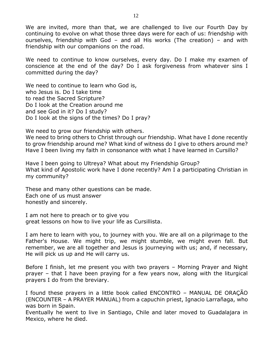We are invited, more than that, we are challenged to live our Fourth Day by continuing to evolve on what those three days were for each of us: friendship with ourselves, friendship with God – and all His works (The creation) – and with friendship with our companions on the road.

We need to continue to know ourselves, every day. Do I make my examen of conscience at the end of the day? Do I ask forgiveness from whatever sins I committed during the day?

We need to continue to learn who God is, who Jesus is. Do I take time to read the Sacred Scripture? Do I look at the Creation around me and see God in it? Do I study? Do I look at the signs of the times? Do I pray?

We need to grow our friendship with others.

We need to bring others to Christ through our friendship. What have I done recently to grow friendship around me? What kind of witness do I give to others around me? Have I been living my faith in consonance with what I have learned in Cursillo?

Have I been going to Ultreya? What about my Friendship Group? What kind of Apostolic work have I done recently? Am I a participating Christian in my community?

These and many other questions can be made. Each one of us must answer honestly and sincerely.

I am not here to preach or to give you great lessons on how to live your life as Cursillista.

I am here to learn with you, to journey with you. We are all on a pilgrimage to the Father's House. We might trip, we might stumble, we might even fall. But remember, we are all together and Jesus is journeying with us; and, if necessary, He will pick us up and He will carry us.

Before I finish, let me present you with two prayers – Morning Prayer and Night prayer – that I have been praying for a few years now, along with the liturgical prayers I do from the breviary.

I found these prayers in a little book called ENCONTRO – MANUAL DE ORAÇÃO (ENCOUNTER – A PRAYER MANUAL) from a capuchin priest, Ignacio Larrañaga, who was born in Spain.

Eventually he went to live in Santiago, Chile and later moved to Guadalajara in Mexico, where he died.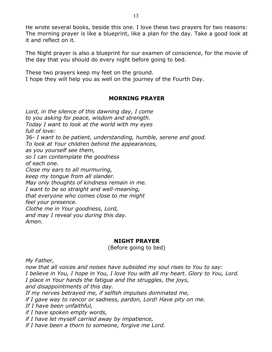He wrote several books, beside this one. I love these two prayers for two reasons: The morning prayer is like a blueprint, like a plan for the day. Take a good look at it and reflect on it.

The Night prayer is also a blueprint for our examen of conscience, for the movie of the day that you should do every night before going to bed.

These two prayers keep my feet on the ground.

I hope they will help you as well on the journey of the Fourth Day.

## **MORNING PRAYER**

*Lord, in the silence of this dawning day, I come to you asking for peace, wisdom and strength. Today I want to look at the world with my eyes full of love:* 36- *I want to be patient, understanding, humble, serene and good. To look at Your children behind the appearances, as you yourself see them, so I can contemplate the goodness of each one. Close my ears to all murmuring, keep my tongue from all slander. May only thoughts of kindness remain in me. I want to be so straight and well-meaning, that everyone who comes close to me might feel your presence. Clothe me in Your goodness, Lord, and may I reveal you during this day. Amen.*

#### **NIGHT PRAYER**

(Before going to bed)

*My Father,* 

*now that all voices and noises have subsided my soul rises to You to say: I believe in You, I hope in You, I love You with all my heart. Glory to You, Lord. I place in Your hands the fatigue and the struggles, the joys, and disappointments of this day. If my nerves betrayed me, if selfish impulses dominated me, if I gave way to rancor or sadness, pardon, Lord! Have pity on me. If I have been unfaithful, if I have spoken empty words, if I have let myself carried away by impatience, if I have been a thorn to someone, forgive me Lord.*